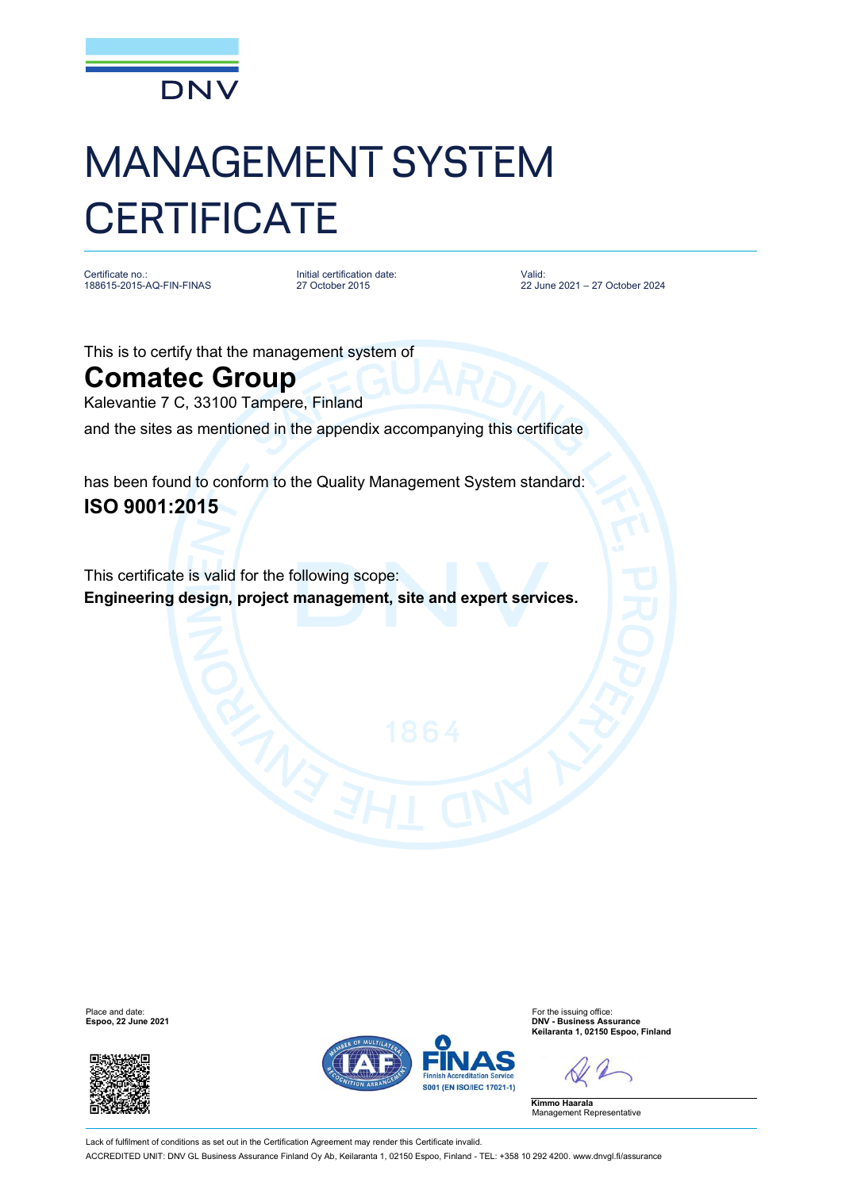

## MANAGEMENT SYSTEM **CERTIFICATE**

Certificate no.: 188615-2015-AQ-FIN-FINAS

Initial certification date: 27 October 2015

Valid: 22 June 2021 – 27 October 2024

This is to certify that the management system of

## **Comatec Group**

Kalevantie 7 C, 33100 Tampere, Finland

and the sites as mentioned in the appendix accompanying this certificate

has been found to conform to the Quality Management System standard: **ISO 9001:2015**

This certificate is valid for the following scope: **Engineering design, project management, site and expert services.**





Place and date: For the issuing office: **Espoo, 22 June 2021 DNV - Business Assurance Keilaranta 1, 02150 Espoo, Finland**

**Kimmo Haarala** Management Representative

Lack of fulfilment of conditions as set out in the Certification Agreement may render this Certificate invalid. ACCREDITED UNIT: DNV GL Business Assurance Finland Oy Ab, Keilaranta 1, 02150 Espoo, Finland - TEL: +358 10 292 4200. [www.dnvgl.fi/assurance](http://www.dnvgl.fi/assurance)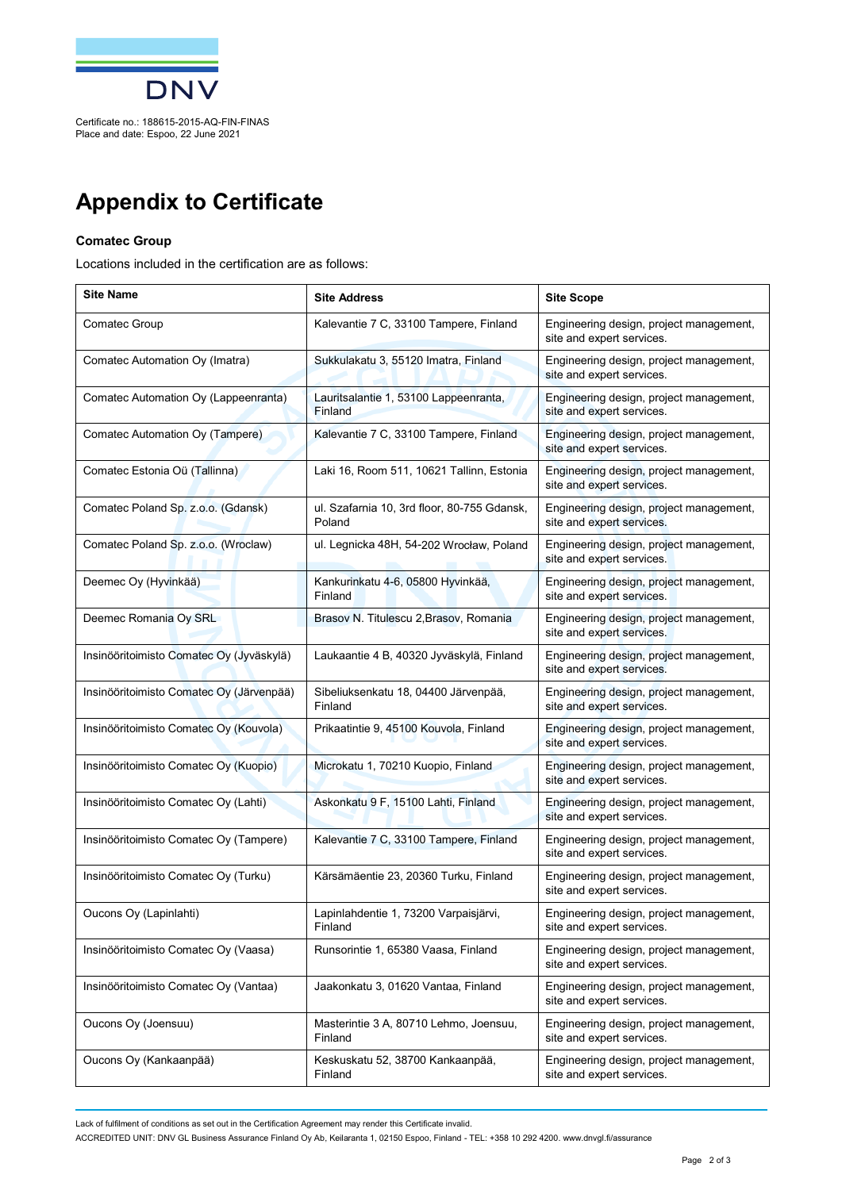

## **Appendix to Certificate**

## **Comatec Group**

Locations included in the certification are as follows:

| <b>Site Name</b>                         | <b>Site Address</b>                                   | <b>Site Scope</b>                                                    |
|------------------------------------------|-------------------------------------------------------|----------------------------------------------------------------------|
| Comatec Group                            | Kalevantie 7 C, 33100 Tampere, Finland                | Engineering design, project management,<br>site and expert services. |
| Comatec Automation Oy (Imatra)           | Sukkulakatu 3, 55120 Imatra, Finland                  | Engineering design, project management,<br>site and expert services. |
| Comatec Automation Oy (Lappeenranta)     | Lauritsalantie 1, 53100 Lappeenranta,<br>Finland      | Engineering design, project management,<br>site and expert services. |
| Comatec Automation Oy (Tampere)          | Kalevantie 7 C, 33100 Tampere, Finland                | Engineering design, project management,<br>site and expert services. |
| Comatec Estonia Oü (Tallinna)            | Laki 16, Room 511, 10621 Tallinn, Estonia             | Engineering design, project management,<br>site and expert services. |
| Comatec Poland Sp. z.o.o. (Gdansk)       | ul. Szafarnia 10, 3rd floor, 80-755 Gdansk,<br>Poland | Engineering design, project management,<br>site and expert services. |
| Comatec Poland Sp. z.o.o. (Wroclaw)      | ul. Legnicka 48H, 54-202 Wrocław, Poland              | Engineering design, project management,<br>site and expert services. |
| Deemec Oy (Hyvinkää)                     | Kankurinkatu 4-6, 05800 Hyvinkää,<br>Finland          | Engineering design, project management,<br>site and expert services. |
| Deemec Romania Oy SRL                    | Brasov N. Titulescu 2, Brasov, Romania                | Engineering design, project management,<br>site and expert services. |
| Insinööritoimisto Comatec Oy (Jyväskylä) | Laukaantie 4 B, 40320 Jyväskylä, Finland              | Engineering design, project management,<br>site and expert services. |
| Insinööritoimisto Comatec Oy (Järvenpää) | Sibeliuksenkatu 18, 04400 Järvenpää,<br>Finland       | Engineering design, project management,<br>site and expert services. |
| Insinööritoimisto Comatec Oy (Kouvola)   | Prikaatintie 9, 45100 Kouvola, Finland                | Engineering design, project management,<br>site and expert services. |
| Insinööritoimisto Comatec Oy (Kuopio)    | Microkatu 1, 70210 Kuopio, Finland                    | Engineering design, project management,<br>site and expert services. |
| Insinööritoimisto Comatec Oy (Lahti)     | Askonkatu 9 F, 15100 Lahti, Finland                   | Engineering design, project management,<br>site and expert services. |
| Insinööritoimisto Comatec Oy (Tampere)   | Kalevantie 7 C, 33100 Tampere, Finland                | Engineering design, project management,<br>site and expert services. |
| Insinööritoimisto Comatec Oy (Turku)     | Kärsämäentie 23, 20360 Turku, Finland                 | Engineering design, project management,<br>site and expert services. |
| Oucons Oy (Lapinlahti)                   | Lapinlahdentie 1, 73200 Varpaisjärvi,<br>Finland      | Engineering design, project management,<br>site and expert services. |
| Insinööritoimisto Comatec Oy (Vaasa)     | Runsorintie 1, 65380 Vaasa, Finland                   | Engineering design, project management,<br>site and expert services. |
| Insinööritoimisto Comatec Oy (Vantaa)    | Jaakonkatu 3, 01620 Vantaa, Finland                   | Engineering design, project management,<br>site and expert services. |
| Oucons Oy (Joensuu)                      | Masterintie 3 A, 80710 Lehmo, Joensuu,<br>Finland     | Engineering design, project management,<br>site and expert services. |
| Oucons Oy (Kankaanpää)                   | Keskuskatu 52, 38700 Kankaanpää,<br>Finland           | Engineering design, project management,<br>site and expert services. |

Lack of fulfilment of conditions as set out in the Certification Agreement may render this Certificate invalid.

ACCREDITED UNIT: DNV GL Business Assurance Finland Oy Ab, Keilaranta 1, 02150 Espoo, Finland - TEL: +358 10 292 4200. [www.dnvgl.fi/assurance](http://www.dnvgl.fi/assurance)